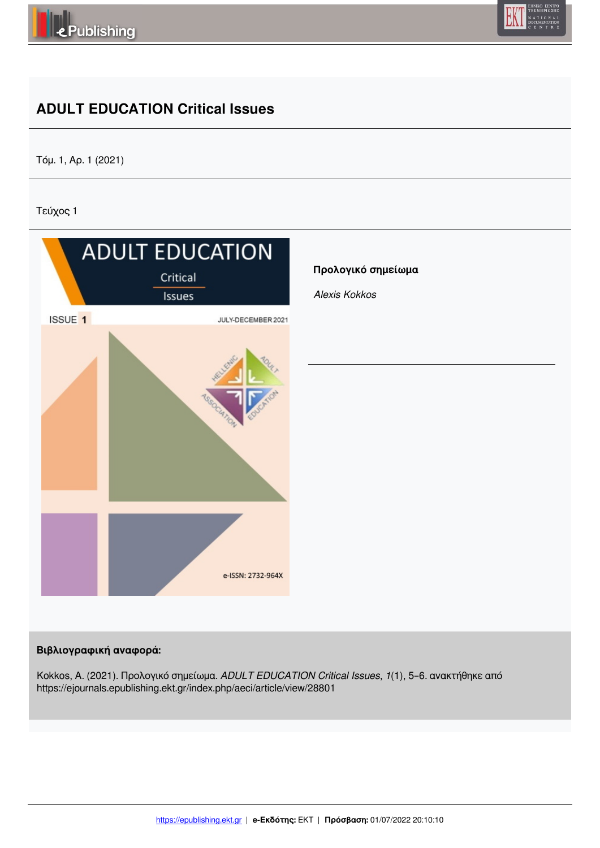



## **ADULT EDUCATION Critical Issues**

Τόμ. 1, Αρ. 1 (2021)

Τεύχος 1



## **Βιβλιογραφική αναφορά:**

Kokkos, A. (2021). Προλογικό σημείωμα. *ADULT EDUCATION Critical Issues*, *1*(1), 5–6. ανακτήθηκε από https://ejournals.epublishing.ekt.gr/index.php/aeci/article/view/28801